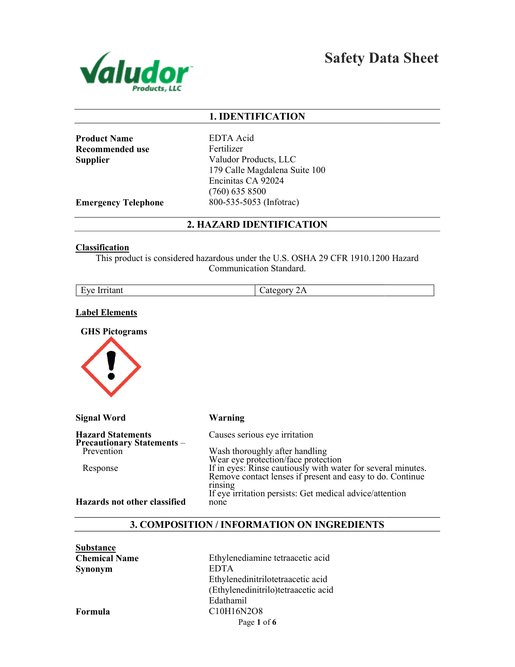

Safety Data Sheet

## 1. IDENTIFICATION

Product Name Recommended use **Supplier** 

EDTA Acid Fertilizer Valudor Products, LLC 179 Calle Magdalena Suite 100 Encinitas CA 92024 (760) 635 8500 800-535-5053 (Infotrac)

Emergency Telephone

2. HAZARD IDENTIFICATION

#### **Classification**

This product is considered hazardous under the U.S. OSHA 29 CFR 1910.1200 Hazard<br>Communication Standard.

## Label Elements

GHS Pictograms



| <b>Signal Word</b>                                            | Warning                                                                                                                                                          |
|---------------------------------------------------------------|------------------------------------------------------------------------------------------------------------------------------------------------------------------|
| <b>Hazard Statements</b><br><b>Precautionary Statements -</b> | Causes serious eye irritation                                                                                                                                    |
| Prevention                                                    | Wash thoroughly after handling                                                                                                                                   |
| Response                                                      | Wear eye protection/face protection<br>If in eyes: Rinse cautiously with water for several minutes.<br>Remove contact lenses if present and easy to do. Continue |
| Hazards not other classified                                  | rinsing<br>If eye irritation persists: Get medical advice/attention<br>none                                                                                      |

#### 3. COMPOSITION / INFORMATION ON INGREDIENTS

| <b>Substance</b>     |                                                               |
|----------------------|---------------------------------------------------------------|
| <b>Chemical Name</b> | Ethylenediamine tetraacetic acid                              |
| <b>Synonym</b>       | <b>EDTA</b>                                                   |
|                      | Ethylenedinitrilotetraacetic acid                             |
|                      | (Ethylenedinitrilo)tetraacetic acid                           |
|                      | Edathamil                                                     |
| Formula              | C <sub>10</sub> H <sub>16</sub> N <sub>2</sub> O <sub>8</sub> |
|                      | Page 1 of 6                                                   |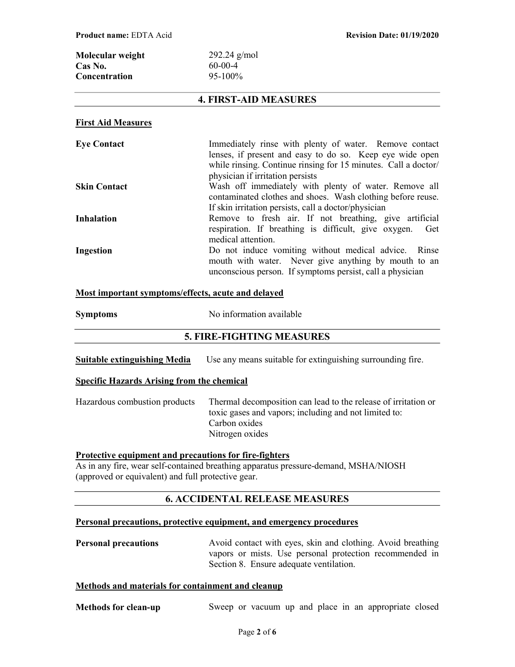| Molecular weight     | $292.24$ g/mol |
|----------------------|----------------|
| Cas No.              | $60-00-4$      |
| <b>Concentration</b> | $95-100\%$     |

## 4. FIRST-AID MEASURES

#### First Aid Measures

| <b>Eye Contact</b>  | Immediately rinse with plenty of water. Remove contact<br>lenses, if present and easy to do so. Keep eye wide open<br>while rinsing. Continue rinsing for 15 minutes. Call a doctor/<br>physician if irritation persists |
|---------------------|--------------------------------------------------------------------------------------------------------------------------------------------------------------------------------------------------------------------------|
| <b>Skin Contact</b> | Wash off immediately with plenty of water. Remove all<br>contaminated clothes and shoes. Wash clothing before reuse.<br>If skin irritation persists, call a doctor/physician                                             |
| <b>Inhalation</b>   | Remove to fresh air. If not breathing, give artificial<br>respiration. If breathing is difficult, give oxygen.<br>Get<br>medical attention.                                                                              |
| Ingestion           | Do not induce vomiting without medical advice. Rinse<br>mouth with water. Never give anything by mouth to an<br>unconscious person. If symptoms persist, call a physician                                                |

### Most important symptoms/effects, acute and delayed

| <b>Symptoms</b> | No information available |
|-----------------|--------------------------|
|-----------------|--------------------------|

## 5. FIRE-FIGHTING MEASURES

| Suitable extinguishing Media | Use any means suitable for extinguishing surrounding fire. |  |
|------------------------------|------------------------------------------------------------|--|
|------------------------------|------------------------------------------------------------|--|

#### Specific Hazards Arising from the chemical

| Hazardous combustion products | Thermal decomposition can lead to the release of irritation or |
|-------------------------------|----------------------------------------------------------------|
|                               | toxic gases and vapors; including and not limited to:          |
|                               | Carbon oxides                                                  |
|                               | Nitrogen oxides                                                |

## Protective equipment and precautions for fire-fighters

As in any fire, wear self-contained breathing apparatus pressure-demand, MSHA/NIOSH (approved or equivalent) and full protective gear.

## 6. ACCIDENTAL RELEASE MEASURES

#### Personal precautions, protective equipment, and emergency procedures

| <b>Personal precautions</b> | Avoid contact with eyes, skin and clothing. Avoid breathing |
|-----------------------------|-------------------------------------------------------------|
|                             | vapors or mists. Use personal protection recommended in     |
|                             | Section 8. Ensure adequate ventilation.                     |

## Methods and materials for containment and cleanup

| <b>Methods for clean-up</b> |  |  |  |  |  |  |  |  | Sweep or vacuum up and place in an appropriate closed |  |  |
|-----------------------------|--|--|--|--|--|--|--|--|-------------------------------------------------------|--|--|
|-----------------------------|--|--|--|--|--|--|--|--|-------------------------------------------------------|--|--|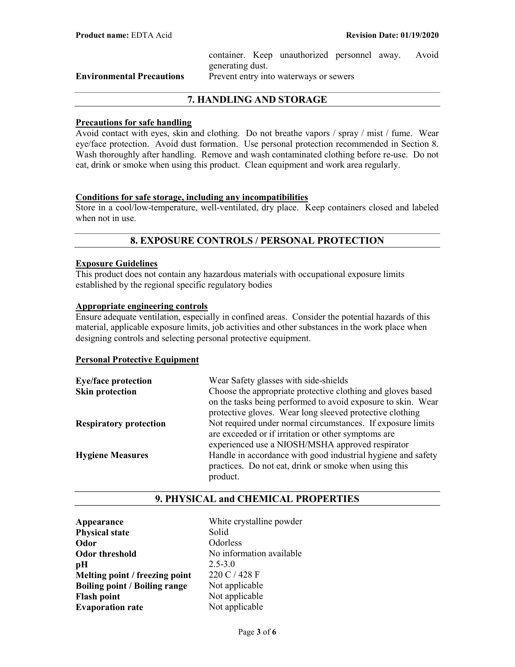container. Keep unauthorized personnel away. Avoid generating dust.

Environmental Precautions Prevent entry into waterways or sewers

# 7. HANDLING AND STORAGE

#### Precautions for safe handling

Avoid contact with eyes, skin and clothing. Do not breathe vapors / spray / mist / fume. Wear eye/face protection. Avoid dust formation. Use personal protection recommended in Section 8. Wash thoroughly after handling. Remove and wash contaminated clothing before re-use. Do not eat, drink or smoke when using this product. Clean equipment and work area regularly.

#### Conditions for safe storage, including any incompatibilities

Store in a cool/low-temperature, well-ventilated, dry place. Keep containers closed and labeled when not in use.

# 8. EXPOSURE CONTROLS / PERSONAL PROTECTION

## Exposure Guidelines

This product does not contain any hazardous materials with occupational exposure limits established by the regional specific regulatory bodies

#### Appropriate engineering controls

Ensure adequate ventilation, especially in confined areas. Consider the potential hazards of this material, applicable exposure limits, job activities and other substances in the work place when designing controls and selecting personal protective equipment.

#### Personal Protective Equipment

| <b>Eye/face protection</b>    | Wear Safety glasses with side-shields                        |
|-------------------------------|--------------------------------------------------------------|
| <b>Skin protection</b>        | Choose the appropriate protective clothing and gloves based  |
|                               | on the tasks being performed to avoid exposure to skin. Wear |
|                               | protective gloves. Wear long sleeved protective clothing     |
| <b>Respiratory protection</b> | Not required under normal circumstances. If exposure limits  |
|                               | are exceeded or if irritation or other symptoms are          |
|                               | experienced use a NIOSH/MSHA approved respirator             |
| <b>Hygiene Measures</b>       | Handle in accordance with good industrial hygiene and safety |
|                               | practices. Do not eat, drink or smoke when using this        |
|                               | product.                                                     |

## 9. PHYSICAL and CHEMICAL PROPERTIES

Appearance White crystalline powder Physical state Solid Odor Odorless Odor threshold No information available  $pH$  2.5-3.0 Melting point / freezing point  $220 \text{ C} / 428 \text{ F}$ Boiling point / Boiling range Not applicable Flash point Not applicable **Evaporation rate** Not applicable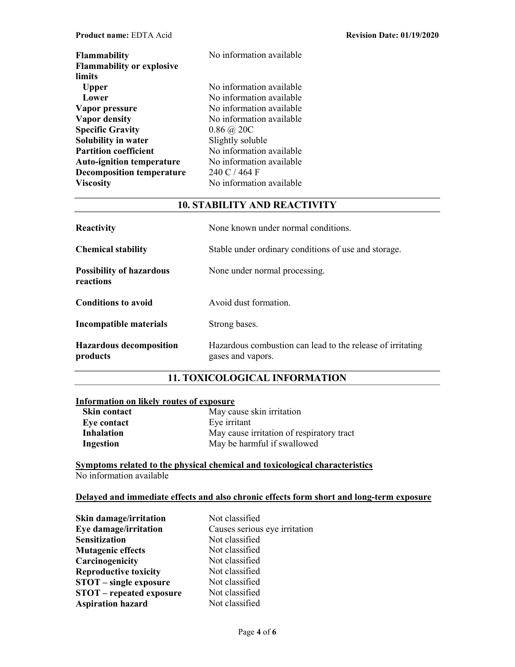| <b>Flammability</b><br><b>Flammability or explosive</b> | No information available |
|---------------------------------------------------------|--------------------------|
| limits                                                  |                          |
| <b>Upper</b>                                            | No information available |
| Lower                                                   | No information available |
| Vapor pressure                                          | No information available |
| <b>Vapor density</b>                                    | No information available |
| <b>Specific Gravity</b>                                 | $0.86 \ (\omega 20C)$    |
| Solubility in water                                     | Slightly soluble         |
| <b>Partition coefficient</b>                            | No information available |
| <b>Auto-ignition temperature</b>                        | No information available |
| <b>Decomposition temperature</b>                        | 240 C / 464 F            |
| <b>Viscosity</b>                                        | No information available |

# 10. STABILITY AND REACTIVITY

| <b>Reactivity</b>                            | None known under normal conditions.                                             |  |
|----------------------------------------------|---------------------------------------------------------------------------------|--|
| <b>Chemical stability</b>                    | Stable under ordinary conditions of use and storage.                            |  |
| <b>Possibility of hazardous</b><br>reactions | None under normal processing.                                                   |  |
| <b>Conditions to avoid</b>                   | Avoid dust formation.                                                           |  |
| Incompatible materials                       | Strong bases.                                                                   |  |
| <b>Hazardous decomposition</b><br>products   | Hazardous combustion can lead to the release of irritating<br>gases and vapors. |  |

# 11. TOXICOLOGICAL INFORMATION

# Information on likely routes of exposure

| <b>Skin contact</b> | May cause skin irritation                 |
|---------------------|-------------------------------------------|
| Eye contact         | Eye irritant                              |
| <b>Inhalation</b>   | May cause irritation of respiratory tract |
| Ingestion           | May be harmful if swallowed               |

## Symptoms related to the physical chemical and toxicological characteristics No information available

## Delayed and immediate effects and also chronic effects form short and long-term exposure

| Skin damage/irritation          | Not classified                |
|---------------------------------|-------------------------------|
| Eye damage/irritation           | Causes serious eye irritation |
| <b>Sensitization</b>            | Not classified                |
| <b>Mutagenic effects</b>        | Not classified                |
| Carcinogenicity                 | Not classified                |
| <b>Reproductive toxicity</b>    | Not classified                |
| <b>STOT</b> – single exposure   | Not classified                |
| <b>STOT</b> – repeated exposure | Not classified                |
| <b>Aspiration hazard</b>        | Not classified                |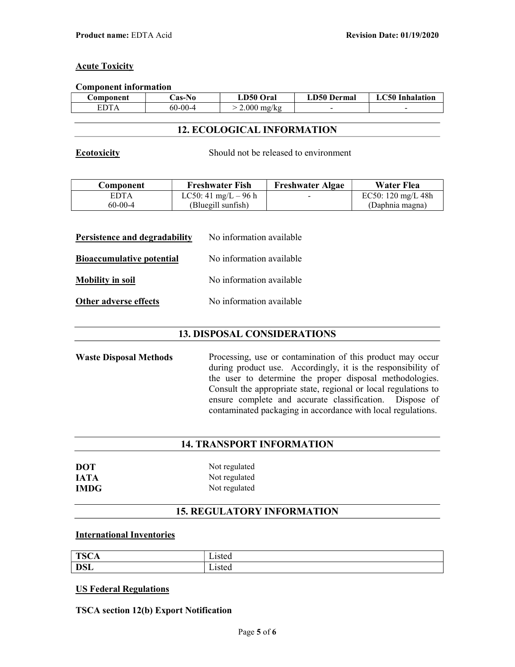## **Acute Toxicity**

#### Component information

| Component | <b>Cas-No</b> | LD50 Oral     | <b>LD50 Dermal</b> | <b>C50 Inhalation</b><br>1 A |
|-----------|---------------|---------------|--------------------|------------------------------|
| EDT.      | $60 - 00 - 4$ | $2.000$ mg/kg | -                  |                              |

## 12. ECOLOGICAL INFORMATION

Ecotoxicity Should not be released to environment

| Component   | <b>Freshwater Fish</b> | <b>Freshwater Algae</b> | <b>Water Flea</b>            |
|-------------|------------------------|-------------------------|------------------------------|
| <b>EDTA</b> | LC50: 41 mg/L – 96 h   | $\sim$                  | EC50: $120 \text{ mg/L} 48h$ |
| $60-00-4$   | (Bluegill sunfish)     |                         | (Daphnia magna)              |

| Persistence and degradability    | No information available |
|----------------------------------|--------------------------|
| <b>Bioaccumulative potential</b> | No information available |
| <b>Mobility in soil</b>          | No information available |
| Other adverse effects            | No information available |

## 13. DISPOSAL CONSIDERATIONS

Waste Disposal Methods Processing, use or contamination of this product may occur during product use. Accordingly, it is the responsibility of the user to determine the proper disposal methodologies. Consult the appropriate state, regional or local regulations to ensure complete and accurate classification. Dispose of contaminated packaging in accordance with local regulations.

## 14. TRANSPORT INFORMATION

| <b>DOT</b>  | Not regulated |
|-------------|---------------|
| <b>IATA</b> | Not regulated |
| <b>IMDG</b> | Not regulated |

# 15. REGULATORY INFORMATION

## International Inventories

| <b>TSCA</b> | $\sim$ $\sim$ $\sim$ $\sim$<br>nsicu |
|-------------|--------------------------------------|
| <b>DSL</b>  | $\sim$ $\sim$ $\sim$<br>-15104       |

#### US Federal Regulations

TSCA section 12(b) Export Notification